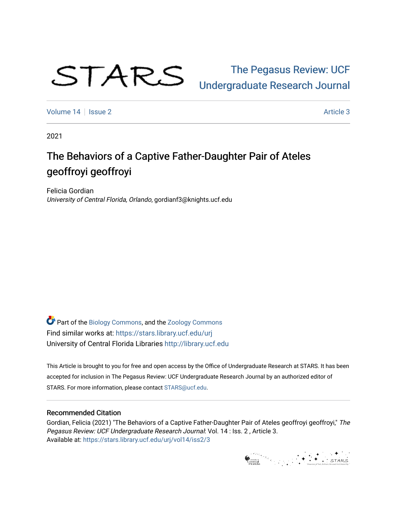

# [The Pegasus Review: UCF](https://stars.library.ucf.edu/urj)  [Undergraduate Research Journal](https://stars.library.ucf.edu/urj)

[Volume 14](https://stars.library.ucf.edu/urj/vol14) | [Issue 2](https://stars.library.ucf.edu/urj/vol14/iss2) Article 3

2021

# The Behaviors of a Captive Father-Daughter Pair of Ateles geoffroyi geoffroyi

Felicia Gordian University of Central Florida, Orlando, gordianf3@knights.ucf.edu

**Part of the [Biology Commons,](http://network.bepress.com/hgg/discipline/41?utm_source=stars.library.ucf.edu%2Furj%2Fvol14%2Fiss2%2F3&utm_medium=PDF&utm_campaign=PDFCoverPages) and the [Zoology Commons](http://network.bepress.com/hgg/discipline/81?utm_source=stars.library.ucf.edu%2Furj%2Fvol14%2Fiss2%2F3&utm_medium=PDF&utm_campaign=PDFCoverPages)** Find similar works at: <https://stars.library.ucf.edu/urj> University of Central Florida Libraries [http://library.ucf.edu](http://library.ucf.edu/) 

This Article is brought to you for free and open access by the Office of Undergraduate Research at STARS. It has been accepted for inclusion in The Pegasus Review: UCF Undergraduate Research Journal by an authorized editor of STARS. For more information, please contact [STARS@ucf.edu.](mailto:STARS@ucf.edu)

## Recommended Citation

Gordian, Felicia (2021) "The Behaviors of a Captive Father-Daughter Pair of Ateles geoffroyi geoffroyi," The Pegasus Review: UCF Undergraduate Research Journal: Vol. 14 : Iss. 2 , Article 3. Available at: [https://stars.library.ucf.edu/urj/vol14/iss2/3](https://stars.library.ucf.edu/urj/vol14/iss2/3?utm_source=stars.library.ucf.edu%2Furj%2Fvol14%2Fiss2%2F3&utm_medium=PDF&utm_campaign=PDFCoverPages)

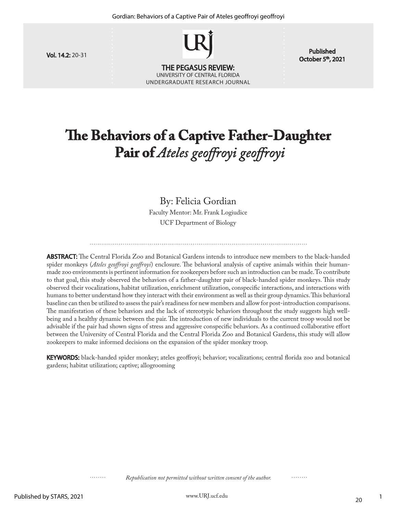

October 5<sup>th</sup>, 2021

# **The Behaviors of a Captive Father-Daughter Pair of** *Ateles geoffroyi geoffroyi*

# By: Felicia Gordian

Faculty Mentor: Mr. Frank Logiudice UCF Department of Biology

ABSTRACT: The Central Florida Zoo and Botanical Gardens intends to introduce new members to the black-handed spider monkeys (*Ateles geoffroyi geoffroyi*) enclosure. The behavioral analysis of captive animals within their humanmade zoo environments is pertinent information for zookeepers before such an introduction can be made. To contribute to that goal, this study observed the behaviors of a father-daughter pair of black-handed spider monkeys. This study observed their vocalizations, habitat utilization, enrichment utilization, conspecific interactions, and interactions with humans to better understand how they interact with their environment as well as their group dynamics. This behavioral baseline can then be utilized to assess the pair's readiness for new members and allow for post-introduction comparisons. The manifestation of these behaviors and the lack of stereotypic behaviors throughout the study suggests high wellbeing and a healthy dynamic between the pair. The introduction of new individuals to the current troop would not be advisable if the pair had shown signs of stress and aggressive conspecific behaviors. As a continued collaborative effort between the University of Central Florida and the Central Florida Zoo and Botanical Gardens, this study will allow zookeepers to make informed decisions on the expansion of the spider monkey troop.

KEYWORDS: black-handed spider monkey; ateles geoffroyi; behavior; vocalizations; central florida zoo and botanical gardens; habitat utilization; captive; allogrooming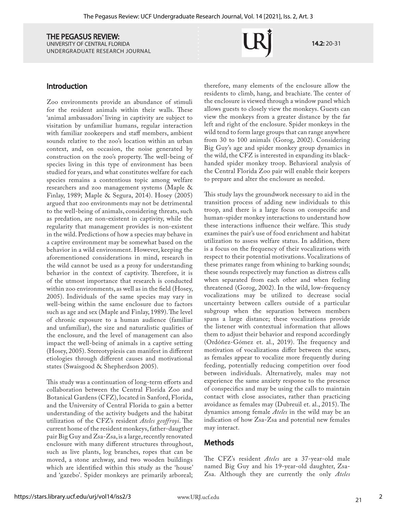Introduction

Zoo environments provide an abundance of stimuli for the resident animals within their walls. These 'animal ambassadors' living in captivity are subject to visitation by unfamiliar humans, regular interaction with familiar zookeepers and staff members, ambient sounds relative to the zoo's location within an urban context, and, on occasion, the noise generated by construction on the zoo's property. The well-being of species living in this type of environment has been studied for years, and what constitutes welfare for each species remains a contentious topic among welfare researchers and zoo management systems (Maple & Finlay, 1989; Maple & Segura, 2014). Hosey (2005) argued that zoo environments may not be detrimental to the well-being of animals, considering threats, such as predation, are non-existent in captivity, while the regularity that management provides is non-existent in the wild. Predictions of how a species may behave in a captive environment may be somewhat based on the behavior in a wild environment. However, keeping the aforementioned considerations in mind, research in the wild cannot be used as a proxy for understanding behavior in the context of captivity. Therefore, it is of the utmost importance that research is conducted within zoo environments, as well as in the field (Hosey, 2005). Individuals of the same species may vary in well-being within the same enclosure due to factors such as age and sex (Maple and Finlay, 1989). The level of chronic exposure to a human audience (familiar and unfamiliar), the size and naturalistic qualities of the enclosure, and the level of management can also impact the well-being of animals in a captive setting (Hosey, 2005). Stereotypiesis can manifest in different etiologies through different causes and motivational states (Swaisgood & Shepherdson 2005).

This study was a continuation of long-term efforts and collaboration between the Central Florida Zoo and Botanical Gardens (CFZ), located in Sanford, Florida, and the University of Central Florida to gain a better understanding of the activity budgets and the habitat utilization of the CFZ's resident *Ateles geoffroyi*. The current home of the resident monkeys, father-daugther pair Big Guy and Zsa-Zsa, is a large, recently renovated enclosure with many different structures throughout, such as live plants, log branches, ropes that can be moved, a stone archway, and two wooden buildings which are identified within this study as the 'house' and 'gazebo'. Spider monkeys are primarily arboreal;

therefore, many elements of the enclosure allow the residents to climb, hang, and brachiate. The center of the enclosure is viewed through a window panel which allows guests to closely view the monkeys. Guests can view the monkeys from a greater distance by the far left and right of the enclosure. Spider monkeys in the wild tend to form large groups that can range anywhere from 30 to 100 animals (Gorog, 2002). Considering Big Guy's age and spider monkey group dynamics in the wild, the CFZ is interested in expanding its blackhanded spider monkey troop. Behavioral analysis of the Central Florida Zoo pair will enable their keepers to prepare and alter the enclosure as needed.

14.2: 20-31

This study lays the groundwork necessary to aid in the transition process of adding new individuals to this troop, and there is a large focus on conspecific and human-spider monkey interactions to understand how these interactions influence their welfare. This study examines the pair's use of food enrichment and habitat utilization to assess welfare status. In addition, there is a focus on the frequency of their vocalizations with respect to their potential motivations. Vocalizations of these primates range from whining to barking sounds; these sounds respectively may function as distress calls when separated from each other and when feeling threatened (Gorog, 2002). In the wild, low-frequency vocalizations may be utilized to decrease social uncertainty between callers outside of a particular subgroup when the separation between members spans a large distance; these vocalizations provide the listener with contextual information that allows them to adjust their behavior and respond accordingly (Ordóñez-Gómez et. al., 2019). The frequency and motivation of vocalizations differ between the sexes, as females appear to vocalize more frequently during feeding, potentially reducing competition over food between individuals. Alternatively, males may not experience the same anxiety response to the presence of conspecifics and may be using the calls to maintain contact with close associates, rather than practicing avoidance as females may (Dubreuil et. al., 2015). The dynamics among female *Ateles* in the wild may be an indication of how Zsa-Zsa and potential new females may interact.

# Methods

The CFZ's resident *Ateles* are a 37-year-old male named Big Guy and his 19-year-old daughter, Zsa-Zsa. Although they are currently the only *Ateles*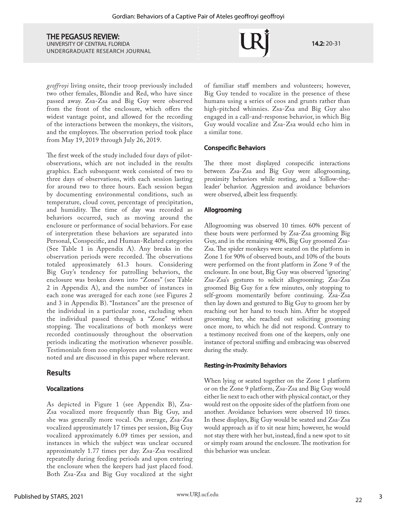14.2: 20-31

*geoffroyi* living onsite, their troop previously included two other females, Blondie and Red, who have since passed away. Zsa-Zsa and Big Guy were observed from the front of the enclosure, which offers the widest vantage point, and allowed for the recording of the interactions between the monkeys, the visitors, and the employees. The observation period took place from May 19, 2019 through July 26, 2019.

The first week of the study included four days of pilotobservations, which are not included in the results graphics. Each subsequent week consisted of two to three days of observations, with each session lasting for around two to three hours. Each session began by documenting environmental conditions, such as temperature, cloud cover, percentage of precipitation, and humidity. The time of day was recorded as behaviors occurred, such as moving around the enclosure or performance of social behaviors. For ease of interpretation these behaviors are separated into Personal, Conspecific, and Human-Related categories (See Table 1 in Appendix A). Any breaks in the observation periods were recorded. The observations totaled approximately 61.3 hours. Considering Big Guy's tendency for patrolling behaviors, the enclosure was broken down into "Zones" (see Table 2 in Appendix A), and the number of instances in each zone was averaged for each zone (see Figures 2 and 3 in Appendix B). "Instances" are the presence of the individual in a particular zone, excluding when the individual passed through a "Zone" without stopping. The vocalizations of both monkeys were recorded continuously throughout the observation periods indicating the motivation whenever possible. Testimonials from zoo employees and volunteers were noted and are discussed in this paper where relevant.

## Results

#### Vocalizations

As depicted in Figure 1 (see Appendix B), Zsa-Zsa vocalized more frequently than Big Guy, and she was generally more vocal. On average, Zsa-Zsa vocalized approximately 17 times per session, Big Guy vocalized approximately 6.09 times per session, and instances in which the subject was unclear occured approximately 1.77 times per day. Zsa-Zsa vocalized repeatedly during feeding periods and upon entering the enclosure when the keepers had just placed food. Both Zsa-Zsa and Big Guy vocalized at the sight

of familiar staff members and volunteers; however, Big Guy tended to vocalize in the presence of these humans using a series of coos and grunts rather than high-pitched whinnies. Zsa-Zsa and Big Guy also engaged in a call-and-response behavior, in which Big Guy would vocalize and Zsa-Zsa would echo him in a similar tone.

#### Conspecific Behaviors

The three most displayed conspecific interactions between Zsa-Zsa and Big Guy were allogrooming, proximity behaviors while resting, and a 'follow-theleader' behavior. Aggression and avoidance behaviors were observed, albeit less frequently.

#### Allogrooming

Allogrooming was observed 10 times. 60% percent of these bouts were performed by Zsa-Zsa grooming Big Guy, and in the remaining 40%, Big Guy groomed Zsa-Zsa. The spider monkeys were seated on the platform in Zone 1 for 90% of observed bouts, and 10% of the bouts were performed on the front platform in Zone 9 of the enclosure. In one bout, Big Guy was observed 'ignoring' Zsa-Zsa's gestures to solicit allogrooming; Zsa-Zsa groomed Big Guy for a few minutes, only stopping to self-groom momentarily before continuing. Zsa-Zsa then lay down and gestured to Big Guy to groom her by reaching out her hand to touch him. After he stopped grooming her, she reached out soliciting grooming once more, to which he did not respond. Contrary to a testimony received from one of the keepers, only one instance of pectoral sniffing and embracing was observed during the study.

#### Resting-in-Proximity Behaviors

When lying or seated together on the Zone 1 platform or on the Zone 9 platform, Zsa-Zsa and Big Guy would either lie next to each other with physical contact, or they would rest on the opposite sides of the platform from one another. Avoidance behaviors were observed 10 times. In these displays, Big Guy would be seated and Zsa-Zsa would approach as if to sit near him; however, he would not stay there with her but, instead, find a new spot to sit or simply roam around the enclosure. The motivation for this behavior was unclear.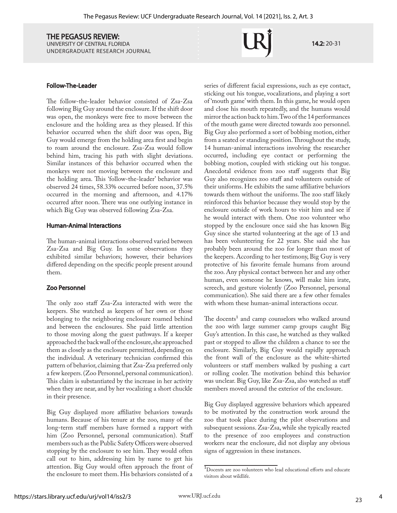#### Follow-The-Leader

The follow-the-leader behavior consisted of Zsa-Zsa following Big Guy around the enclosure. If the shift door was open, the monkeys were free to move between the enclosure and the holding area as they pleased. If this behavior occurred when the shift door was open, Big Guy would emerge from the holding area first and begin to roam around the enclosure. Zsa-Zsa would follow behind him, tracing his path with slight deviations. Similar instances of this behavior occurred when the monkeys were not moving between the enclosure and the holding area. This 'follow-the-leader' behavior was observed 24 times, 58.33% occurred before noon, 37.5% occurred in the morning and afternoon, and 4.17% occurred after noon. There was one outlying instance in which Big Guy was observed following Zsa-Zsa.

#### Human-Animal Interactions

The human-animal interactions observed varied between Zsa-Zsa and Big Guy. In some observations they exhibited similar behaviors; however, their behaviors differed depending on the specific people present around them.

#### Zoo Personnel

The only zoo staff Zsa-Zsa interacted with were the keepers. She watched as keepers of her own or those belonging to the neighboring enclosure roamed behind and between the enclosures. She paid little attention to those moving along the guest pathways. If a keeper approached the back wall of the enclosure, she approached them as closely as the enclosure permitted, depending on the individual. A veterinary technician confirmed this pattern of behavior, claiming that Zsa-Zsa preferred only a few keepers. (Zoo Personnel, personal communication). This claim is substantiated by the increase in her activity when they are near, and by her vocalizing a short chuckle in their presence.

Big Guy displayed more affiliative behaviors towards humans. Because of his tenure at the zoo, many of the long-term staff members have formed a rapport with him (Zoo Personnel, personal communication). Staff members such as the Public Safety Officers were observed stopping by the enclosure to see him. They would often call out to him, addressing him by name to get his attention. Big Guy would often approach the front of the enclosure to meet them. His behaviors consisted of a

series of different facial expressions, such as eye contact, sticking out his tongue, vocalizations, and playing a sort of 'mouth game' with them. In this game, he would open and close his mouth repeatedly, and the humans would mirror the action back to him. Two of the 14 performances of the mouth game were directed towards zoo personnel. Big Guy also performed a sort of bobbing motion, either from a seated or standing position. Throughout the study, 14 human-animal interactions involving the researcher occurred, including eye contact or performing the bobbing motion, coupled with sticking out his tongue. Anecdotal evidence from zoo staff suggests that Big Guy also recognizes zoo staff and volunteers outside of their uniforms. He exhibits the same affiliative behaviors towards them without the uniforms. The zoo staff likely reinforced this behavior because they would stop by the enclosure outside of work hours to visit him and see if he would interact with them. One zoo volunteer who stopped by the enclosure once said she has known Big Guy since she started volunteering at the age of 13 and has been volunteering for 22 years. She said she has probably been around the zoo for longer than most of the keepers. According to her testimony, Big Guy is very protective of his favorite female humans from around the zoo. Any physical contact between her and any other human, even someone he knows, will make him irate, screech, and gesture violently (Zoo Personnel, personal communication). She said there are a few other females with whom these human-animal interactions occur.

The docents<sup>1</sup> and camp counselors who walked around the zoo with large summer camp groups caught Big Guy's attention. In this case, he watched as they walked past or stopped to allow the children a chance to see the enclosure. Similarly, Big Guy would rapidly approach the front wall of the enclosure as the white-shirted volunteers or staff members walked by pushing a cart or rolling cooler. The motivation behind this behavior was unclear. Big Guy, like Zsa-Zsa, also watched as staff members moved around the exterior of the enclosure.

Big Guy displayed aggressive behaviors which appeared to be motivated by the construction work around the zoo that took place during the pilot observations and subsequent sessions. Zsa-Zsa, while she typically reacted to the presence of zoo employees and construction workers near the enclosure, did not display any obvious signs of aggression in these instances.

4

14.2: 20-31

<sup>1</sup>Docents are zoo volunteers who lead educational efforts and educate visitors about wildlife.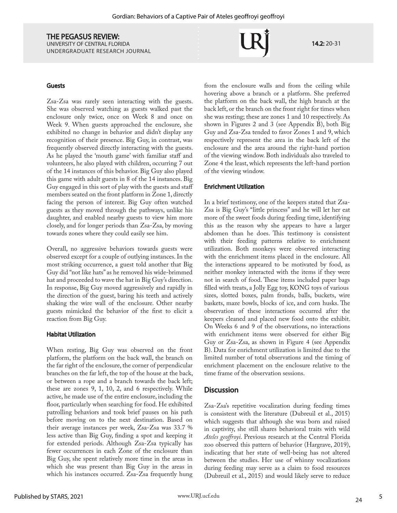14.2: 20-31

#### Guests

Zsa-Zsa was rarely seen interacting with the guests. She was observed watching as guests walked past the enclosure only twice, once on Week 8 and once on Week 9. When guests approached the enclosure, she exhibited no change in behavior and didn't display any recognition of their presence. Big Guy, in contrast, was frequently observed directly interacting with the guests. As he played the 'mouth game' with familiar staff and volunteers, he also played with children, occurring 7 out of the 14 instances of this behavior. Big Guy also played this game with adult guests in 8 of the 14 instances. Big Guy engaged in this sort of play with the guests and staff members seated on the front platform in Zone 1, directly facing the person of interest. Big Guy often watched guests as they moved through the pathways, unlike his daughter, and enabled nearby guests to view him more closely, and for longer periods than Zsa-Zsa, by moving towards zones where they could easily see him.

Overall, no aggressive behaviors towards guests were observed except for a couple of outlying instances. In the most striking occurrence, a guest told another that Big Guy did "not like hats" as he removed his wide-brimmed hat and proceeded to wave the hat in Big Guy's direction. In response, Big Guy moved aggressively and rapidly in the direction of the guest, baring his teeth and actively shaking the wire wall of the enclosure. Other nearby guests mimicked the behavior of the first to elicit a reaction from Big Guy.

#### Habitat Utilization

When resting, Big Guy was observed on the front platform, the platform on the back wall, the branch on the far right of the enclosure, the corner of perpendicular branches on the far left, the top of the house at the back, or between a rope and a branch towards the back left; these are zones 9, 1, 10, 2, and 6 respectively. While active, he made use of the entire enclosure, including the floor, particularly when searching for food. He exhibited patrolling behaviors and took brief pauses on his path before moving on to the next destination. Based on their average instances per week, Zsa-Zsa was 33.7 % less active than Big Guy, finding a spot and keeping it for extended periods. Although Zsa-Zsa typically has fewer occurrences in each Zone of the enclosure than Big Guy, she spent relatively more time in the areas in which she was present than Big Guy in the areas in which his instances occurred. Zsa-Zsa frequently hung

from the enclosure walls and from the ceiling while hovering above a branch or a platform. She preferred the platform on the back wall, the high branch at the back left, or the branch on the front right for times when she was resting; these are zones 1 and 10 respectively. As shown in Figures 2 and 3 (see Appendix B), both Big Guy and Zsa-Zsa tended to favor Zones 1 and 9, which respectively represent the area in the back left of the enclosure and the area around the right-hand portion of the viewing window. Both individuals also traveled to Zone 4 the least, which represents the left-hand portion of the viewing window.

#### Enrichment Utilization

In a brief testimony, one of the keepers stated that Zsa-Zsa is Big Guy's "little princess" and he will let her eat more of the sweet foods during feeding time, identifying this as the reason why she appears to have a larger abdomen than he does. This testimony is consistent with their feeding patterns relative to enrichment utilization. Both monkeys were observed interacting with the enrichment items placed in the enclosure. All the interactions appeared to be motivated by food, as neither monkey interacted with the items if they were not in search of food. These items included paper bags filled with treats, a Jolly Egg toy, KONG toys of various sizes, slotted boxes, palm fronds, balls, buckets, wire baskets, maze bowls, blocks of ice, and corn husks. The observation of these interactions occurred after the keepers cleaned and placed new food onto the exhibit. On Weeks 6 and 9 of the observations, no interactions with enrichment items were observed for either Big Guy or Zsa-Zsa, as shown in Figure 4 (see Appendix B). Data for enrichment utilization is limited due to the limited number of total observations and the timing of enrichment placement on the enclosure relative to the time frame of the observation sessions.

#### **Discussion**

Zsa-Zsa's repetitive vocalization during feeding times is consistent with the literature (Dubreuil et al., 2015) which suggests that although she was born and raised in captivity, she still shares behavioral traits with wild *Ateles geoffroyi*. Previous research at the Central Florida zoo observed this pattern of behavior (Hargrave, 2019), indicating that her state of well-being has not altered between the studies. Her use of whinny vocalizations during feeding may serve as a claim to food resources (Dubreuil et al., 2015) and would likely serve to reduce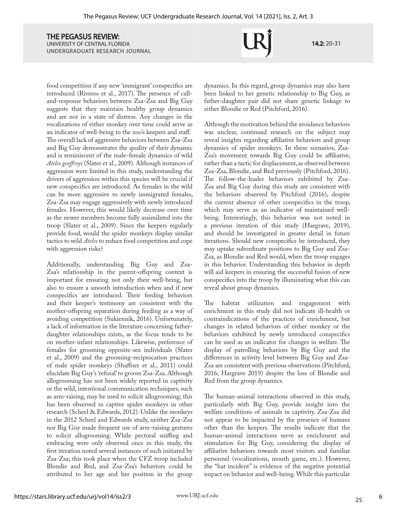14.2: 20-31

food competition if any new 'immigrant' conspecifics are introduced (Riveros et al., 2017). The presence of calland-response behaviors between Zsa-Zsa and Big Guy suggests that they maintain healthy group dynamics and are not in a state of distress. Any changes in the vocalizations of either monkey over time could serve as an indicator of well-being to the zoo's keepers and staff. The overall lack of aggressive behaviors between Zsa-Zsa and Big Guy demonstrates the quality of their dynamic and is reminiscent of the male-female dynamics of wild *Ateles geoffroyi* (Slater et al., 2009). Although instances of aggression were limited in this study, understanding the drivers of aggression within this species will be crucial if new conspecifics are introduced. As females in the wild can be more aggressive to newly immigrated females, Zsa-Zsa may engage aggressively with newly introduced females. However, this would likely decrease over time as the newer members become fully assimilated into the troop (Slater et al., 2009). Since the keepers regularly provide food, would the spider monkeys display similar tactics to wild *Ateles* to reduce food competition and cope with aggression risks?

Additionally, understanding Big Guy and Zsa-Zsa's relationship in the parent-offspring context is important for ensuring not only their well-being, but also to ensure a smooth introduction when and if new conspecifics are introduced. Their feeding behaviors and their keeper's testimony are consistent with the mother-offspring separation during feeding as a way of avoiding competition (Sukiennik, 2016). Unfortunately, a lack of information in the literature concerning fatherdaughter relationships exists, as the focus tends to be on mother-infant relationships. Likewise, preference of females for grooming opposite-sex individuals (Slater et al., 2009) and the grooming-reciprocation practices of male spider monkeys (Shaffner et al., 2011) could elucidate Big Guy's 'refusal' to groom Zsa-Zsa. Although allogrooming has not been widely reported in captivity or the wild, intentional communication techniques, such as arm-raising, may be used to solicit allogrooming; this has been observed in captive spider monkeys in other research (Scheel & Edwards, 2012). Unlike the monkeys in the 2012 Scheel and Edwards study, neither Zsa-Zsa nor Big Guy made frequent use of arm-raising gestures to solicit allogrooming. While pectoral sniffing and embracing were only observed once in this study, the first iteration noted several instances of such initiated by Zsa-Zsa; this took place when the CFZ troop included Blondie and Red, and Zsa-Zsa's behaviors could be attributed to her age and her position in the group

dynamics. In this regard, group dynamics may also have been linked to her genetic relationship to Big Guy, as father-daughter pair did not share genetic linkage to either Blondie or Red (Pitchford, 2016).

Although the motivation behind the avoidance behaviors was unclear, continued research on the subject may reveal insights regarding affiliative behaviors and group dynamics of spider monkeys. In these scenarios, Zsa-Zsa's movement towards Big Guy could be affiliative, rather than a tactic for displacement, as observed between Zsa-Zsa, Blondie, and Red previously (Pitchford, 2016). The follow-the-leader behaviors exhibited by Zsa-Zsa and Big Guy during this study are consistent with the behaviors observed by Pitchford (2016), despite the current absence of other conspecifics in the troop, which may serve as an indicator of maintained wellbeing. Interestingly, this behavior was not noted in a previous iteration of this study (Hargrave, 2019), and should be investigated in greater detail in future iterations. Should new conspecifics be introduced, they may uptake subordinate positions to Big Guy and Zsa-Zsa, as Blondie and Red would, when the troop engages in this behavior. Understanding this behavior in depth will aid keepers in ensuring the successful fusion of new conspecifics into the troop by illuminating what this can reveal about group dynamics.

The habitat utilization and engagement with enrichment in this study did not indicate ill-health or contraindications of the practices of enrichment, but changes in related behaviors of either monkey or the behaviors exhibited by newly introduced conspecifics can be used as an indicator for changes in welfare. The display of patrolling behaviors by Big Guy and the differences in activity level between Big Guy and Zsa-Zsa are consistent with previous observations (Pitchford, 2016; Hargrave 2019) despite the loss of Blondie and Red from the group dynamics.

The human-animal interactions observed in this study, particularly with Big Guy, provide insight into the welfare conditions of animals in captivity. Zsa-Zsa did not appear to be impacted by the presence of humans other than the keepers. The results indicate that the human-animal interactions serve as enrichment and stimulation for Big Guy, considering the display of affiliative behaviors towards most visitors and familiar personnel (vocalizations, mouth game, etc.). However, the "hat incident" is evidence of the negative potential impact on behavior and well-being. While this particular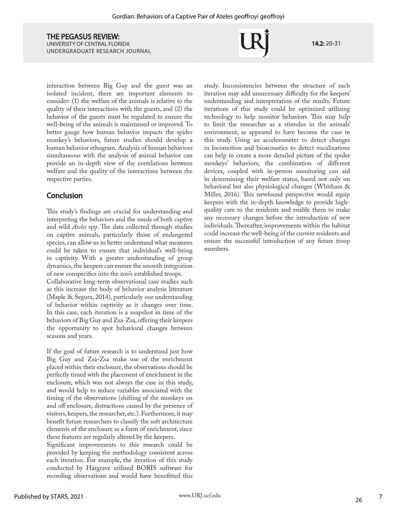14.2: 20-31

interaction between Big Guy and the guest was an isolated incident, there are important elements to consider: (1) the welfare of the animals is relative to the quality of their interactions with the guests, and (2) the behavior of the guests must be regulated to ensure the well-being of the animals is maintained or improved. To better gauge how human behavior impacts the spider monkey's behaviors, future studies should develop a human behavior ethogram. Analysis of human behaviors simultaneous with the analysis of animal behavior can provide an in-depth view of the correlations between welfare and the quality of the interactions between the respective parties.

# **Conclusion**

This study's findings are crucial for understanding and interpreting the behaviors and the needs of both captive and wild *Ateles* spp. The data collected through studies on captive animals, particularly those of endangered species, can allow us to better understand what measures could be taken to ensure that individual's well-being in captivity. With a greater understanding of group dynamics, the keepers can ensure the smooth integration of new conspecifics into the zoo's established troops.

Collaborative long-term observational case studies such as this increase the body of behavior analysis literature (Maple & Segura, 2014), particularly our understanding of behavior within captivity as it changes over time. In this case, each iteration is a snapshot in time of the behaviors of Big Guy and Zsa-Zsa, offering their keepers the opportunity to spot behavioral changes between seasons and years.

If the goal of future research is to understand just how Big Guy and Zsa-Zsa make use of the enrichment placed within their enclosure, the observations should be perfectly timed with the placement of enrichment in the enclosure, which was not always the case in this study, and would help to reduce variables associated with the timing of the observations (shifting of the monkeys on and off enclosure, distractions caused by the presence of visitors, keepers, the researcher, etc.). Furthermore, it may benefit future researchers to classify the soft architecture elements of the enclosure as a form of enrichment, since these features are regularly altered by the keepers.

Significant improvements to this research could be provided by keeping the methodology consistent across each iteration. For example, the iteration of this study conducted by Hargrave utilized BORIS software for recording observations and would have benefitted this

study. Inconsistencies between the structure of each iteration may add unnecessary difficulty for the keepers' understanding and interpretation of the results. Future iterations of this study could be optimized utilizing technology to help monitor behaviors. This may help to limit the researcher as a stimulus in the animals' environment, as appeared to have become the case in this study. Using an accelerometer to detect changes in locomotion and bioacoustics to detect vocalizations can help to create a more detailed picture of the spider monkeys' behaviors; the combination of different devices, coupled with in-person monitoring can aid in determining their welfare status, based not only on behavioral but also physiological changes (Whitham & Miller, 2016). This newfound perspective would equip keepers with the in-depth knowledge to provide highquality care to the residents and enable them to make any necessary changes before the introduction of new individuals. Thereafter, improvements within the habitat could increase the well-being of the current residents and ensure the successful introduction of any future troop members.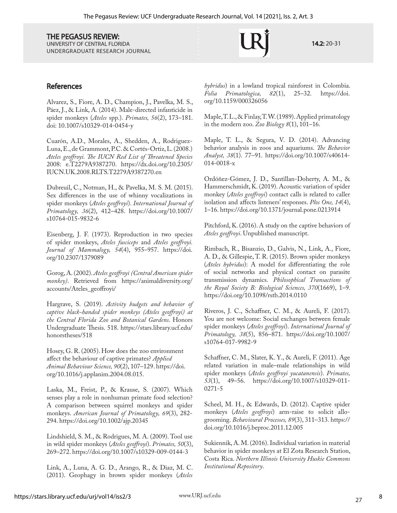UNIVERSITY OF CENTRAL FLORIDA UNDERGRADUATE RESEARCH JOURNAL

14.2: 20-31

## **References**

Alvarez, S., Fiore, A. D., Champion, J., Pavelka, M. S., Páez, J., & Link, A. (2014). Male-directed infanticide in spider monkeys (*Ateles* spp.). *Primates, 56*(2), 173–181. doi: 10.1007/s10329-014-0454-y

Cuarón, A.D., Morales, A., Shedden, A., Rodriguez-Luna, E., de Grammont, P.C. & Cortés-Ortiz, L. (2008.) *Ateles geoffroyi. The IUCN Red List of Threatened Species* 2008: e.T2279A9387270. https://dx.doi.org/10.2305/ IUCN.UK.2008.RLTS.T2279A9387270.en

Dubreuil, C., Notman, H., & Pavelka, M. S. M. (2015). Sex differences in the use of whinny vocalizations in spider monkeys (*Ateles geoffroyi*). *International Journal of Primatology, 36*(2), 412–428. https://doi.org/10.1007/ s10764-015-9832-6

Eisenberg, J. F. (1973). Reproduction in two species of spider monkeys, *Ateles fusciceps* and *Ateles geoffroyi. Journal of Mammalogy, 54*(4), 955–957. https://doi. org/10.2307/1379089

Gorog, A. (2002). *Ateles geoffroyi (Central American spider monkey)*. Retrieved from https://animaldiversity.org/ accounts/Ateles\_geoffroyi/

Hargrave, S. (2019). *Activity budgets and behavior of captive black-handed spider monkeys (Ateles geoffroyi) at the Central Florida Zoo and Botanical Gardens*. Honors Undergraduate Thesis. 518. https://stars.library.ucf.edu/ honorstheses/518

Hosey, G. R. (2005). How does the zoo environment affect the behaviour of captive primates? *Applied Animal Behaviour Science, 90*(2), 107–129. https://doi. org/10.1016/j.applanim.2004.08.015.

Laska, M., Freist, P., & Krause, S. (2007). Which senses play a role in nonhuman primate food selection? A comparison between squirrel monkeys and spider monkeys. *American Journal of Primatology, 69*(3), 282- 294. https://doi.org/10.1002/ajp.20345

Lindshield, S. M., & Rodrigues, M. A. (2009). Tool use in wild spider monkeys (*Ateles geoffroyi*). *Primates, 50*(3), 269–272. https://doi.org/10.1007/s10329-009-0144-3

Link, A., Luna, A. G. D., Arango, R., & Diaz, M. C. (2011). Geophagy in brown spider monkeys (*Ateles*  *hybridus*) in a lowland tropical rainforest in Colombia.  $Folia$  Primatologica, org/10.1159/000326056

Maple, T. L., & Finlay, T. W. (1989). Applied primatology in the modern zoo. *Zoo Biology 8*(1), 101–16.

Maple, T. L., & Segura, V. D. (2014). Advancing behavior analysis in zoos and aquariums. *The Behavior Analyst, 38*(1). 77–91. https://doi.org/10.1007/s40614- 014-0018-x

Ordóñez-Gómez, J. D., Santillan-Doherty, A. M., & Hammerschmidt, K. (2019). Acoustic variation of spider monkey (*Ateles geoffroyi*) contact calls is related to caller isolation and affects listeners' responses. *Plos One, 14*(4), 1–16. https://doi.org/10.1371/journal.pone.0213914

Pitchford, K. (2016). A study on the captive behaviors of *Ateles geoffroyi*. Unpublished manuscript.

Rimbach, R., Bisanzio, D., Galvis, N., Link, A., Fiore, A. D., & Gillespie, T. R. (2015). Brown spider monkeys (*Ateles hybridus*): A model for differentiating the role of social networks and physical contact on parasite transmission dynamics. *Philosophical Transactions of the Royal Society B: Biological Sciences, 370*(1669), 1–9. https://doi.org/10.1098/rstb.2014.0110

Riveros, J. C., Schaffner, C. M., & Aureli, F. (2017). You are not welcome: Social exchanges between female spider monkeys (*Ateles geoffroyi*). *International Journal of Primatology, 38*(5), 856–871. https://doi.org/10.1007/ s10764-017-9982-9

Schaffner, C. M., Slater, K. Y., & Aureli, F. (2011). Age related variation in male–male relationships in wild spider monkeys (*Ateles geoffroyi yucatanensis*). *Primates, 53*(1), 49–56. https://doi.org/10.1007/s10329-011- 0271-5

Scheel, M. H., & Edwards, D. (2012). Captive spider monkeys (*Ateles geoffroyi*) arm-raise to solicit allogrooming. *Behavioural Processes, 89*(3), 311–313. https:// doi.org/10.1016/j.beproc.2011.12.005

Sukiennik, A. M. (2016). Individual variation in material behavior in spider monkeys at El Zota Research Station, Costa Rica. *Northern Illinois University Huskie Commons Institutional Repository*.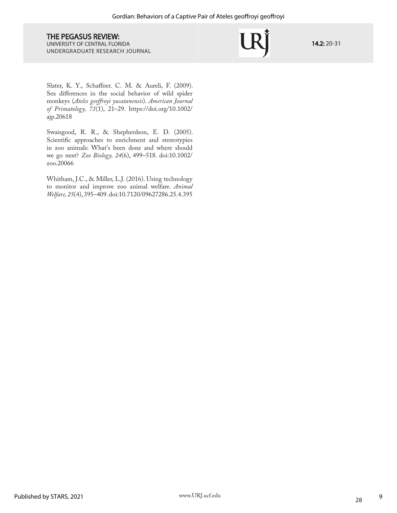14.2: 20-31

Slater, K. Y., Schaffner. C. M. & Aureli, F. (2009). Sex differences in the social behavior of wild spider monkeys (*Ateles geoffroyi yucatanensis*). *American Journal of Primatology, 71*(1), 21–29. https://doi.org/10.1002/ ajp.20618

Swaisgood, R. R., & Shepherdson, E. D. (2005). Scientific approaches to enrichment and stereotypies in zoo animals: What's been done and where should we go next? *Zoo Biology, 24*(6), 499–518. doi:10.1002/ zoo.20066

Whitham, J.C., & Miller, L.J. (2016). Using technology to monitor and improve zoo animal welfare. *Animal Welfare, 25*(4), 395–409. doi:10.7120/09627286.25.4.395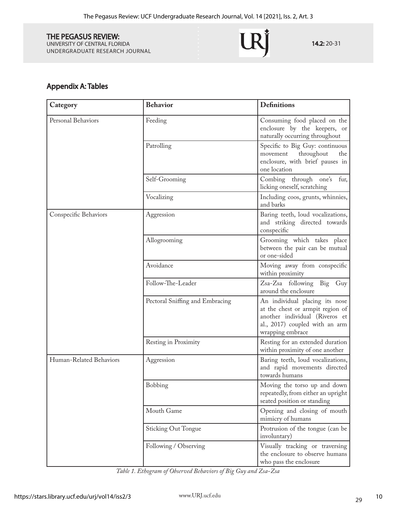UNIVERSITY OF CENTRAL FLORIDA UNDERGRADUATE RESEARCH JOURNAL

14.2: 20-31

# Appendix A: Tables

| Category                | <b>Behavior</b>                 | <b>Definitions</b>                                                                                                                                         |
|-------------------------|---------------------------------|------------------------------------------------------------------------------------------------------------------------------------------------------------|
| Personal Behaviors      | Feeding                         | Consuming food placed on the<br>enclosure by the keepers, or<br>naturally occurring throughout                                                             |
|                         | Patrolling                      | Specific to Big Guy: continuous<br>throughout<br>the<br>movement<br>enclosure, with brief pauses in<br>one location                                        |
|                         | Self-Grooming                   | Combing through one's<br>fur,<br>licking oneself, scratching                                                                                               |
|                         | Vocalizing                      | Including coos, grunts, whinnies,<br>and barks                                                                                                             |
| Conspecific Behaviors   | Aggression                      | Baring teeth, loud vocalizations,<br>and striking directed towards<br>conspecific                                                                          |
|                         | Allogrooming                    | Grooming which takes place<br>between the pair can be mutual<br>or one-sided                                                                               |
|                         | Avoidance                       | Moving away from conspecific<br>within proximity                                                                                                           |
|                         | Follow-The-Leader               | Zsa-Zsa following<br>Big Guy<br>around the enclosure                                                                                                       |
|                         | Pectoral Sniffing and Embracing | An individual placing its nose<br>at the chest or armpit region of<br>another individual (Riveros et<br>al., 2017) coupled with an arm<br>wrapping embrace |
|                         | Resting in Proximity            | Resting for an extended duration<br>within proximity of one another                                                                                        |
| Human-Related Behaviors | Aggression                      | Baring teeth, loud vocalizations,<br>and rapid movements directed<br>towards humans                                                                        |
|                         | Bobbing                         | Moving the torso up and down<br>repeatedly, from either an upright<br>seated position or standing                                                          |
|                         | Mouth Game                      | Opening and closing of mouth<br>mimicry of humans                                                                                                          |
|                         | <b>Sticking Out Tongue</b>      | Protrusion of the tongue (can be<br>involuntary)                                                                                                           |
|                         | Following / Observing           | Visually tracking or traversing<br>the enclosure to observe humans<br>who pass the enclosure                                                               |

*Table 1. Ethogram of Observed Behaviors of Big Guy and Zsa-Zsa*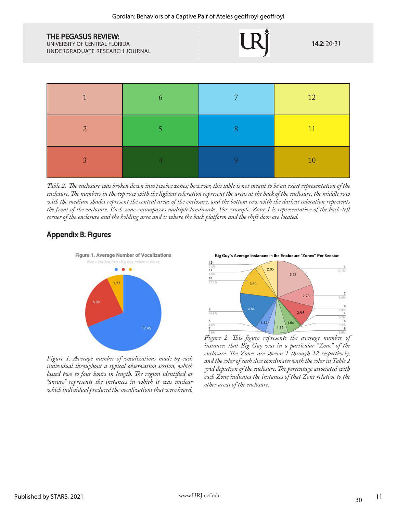UNIVERSITY OF CENTRAL FLORIDA UNDERGRADUATE RESEARCH JOURNAL





*Table 2. The enclosure was broken down into twelve zones; however, this table is not meant to be an exact representation of the enclosure. The numbers in the top row with the lightest coloration represent the areas at the back of the enclosure, the middle row with the medium shades represent the central areas of the enclosure, and the bottom row with the darkest coloration represents the front of the enclosure. Each zone encompasses multiple landmarks. For example: Zone 1 is representative of the back-left corner of the enclosure and the holding area and is where the back platform and the shift door are located.*

# Appendix B: Figures



*Figure 1. Average number of vocalizations made by each individual throughout a typical observation session, which lasted two to four hours in length. The region identified as "unsure" represents the instances in which it was unclear which individual produced the vocalizations that were heard.*

Big Guy's Average Instances in the Enclosure "Zones" Per Session

14.2: 20-31



*Figure 2. This figure represents the average number of instances that Big Guy was in a particular "Zone" of the enclosure. The Zones are shown 1 through 12 respectively, and the color of each slice coordinates with the color in Table 2 grid depiction of the enclosure. The percentage associated with each Zone indicates the instances of that Zone relative to the other areas of the enclosure.*